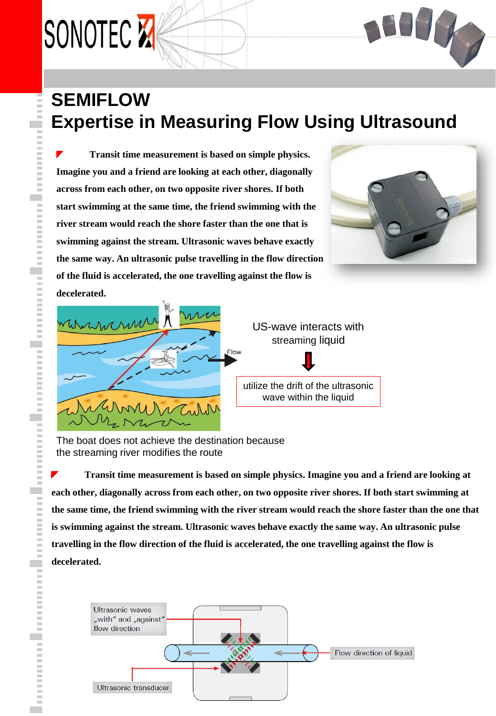

### **SEMIFLOW Expertise in Measuring Flow Using Ultrasound**

**Transit time measurement is based on simple physics. Imagine you and a friend are looking at each other, diagonally across from each other, on two opposite river shores. If both start swimming at the same time, the friend swimming with the river stream would reach the shore faster than the one that is swimming against the stream. Ultrasonic waves behave exactly the same way. An ultrasonic pulse travelling in the flow direction of the fluid is accelerated, the one travelling against the flow is decelerated.**





The boat does not achieve the destination because the streaming river modifies the route

**Transit time measurement is based on simple physics. Imagine you and a friend are looking at**  ◤ **each other, diagonally across from each other, on two opposite river shores. If both start swimming at the same time, the friend swimming with the river stream would reach the shore faster than the one that is swimming against the stream. Ultrasonic waves behave exactly the same way. An ultrasonic pulse travelling in the flow direction of the fluid is accelerated, the one travelling against the flow is decelerated.**

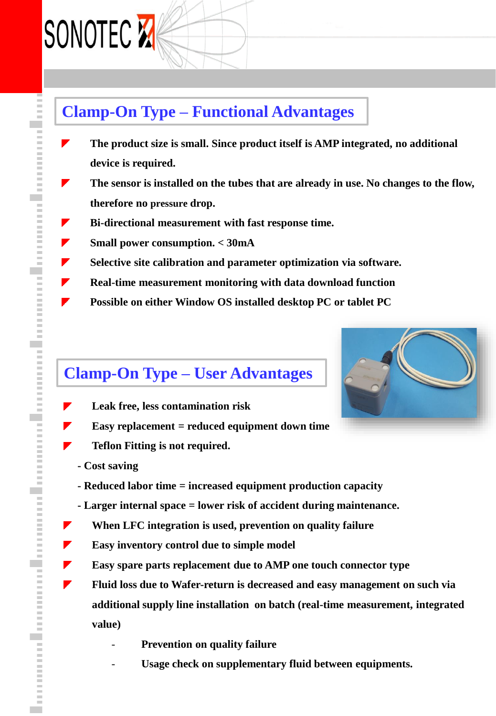## SONOTEC **X**

▼

◤

▼

 $\blacktriangledown$ 

### **Clamp-On Type – Functional Advantages**

- **The product size is small. Since product itself is AMP integrated, no additional device is required.**
- ◤ **The sensor is installed on the tubes that are already in use. No changes to the flow, therefore no pressure drop.**
- ◤ **Bi-directional measurement with fast response time.**
- **Small power consumption. < 30mA**  ▼
- ▼ **Selective site calibration and parameter optimization via software.**
- ◤ **Real-time measurement monitoring with data download function**
	- **Possible on either Window OS installed desktop PC or tablet PC**

### **Clamp-On Type – User Advantages**

- **Leak free, less contamination risk**
- **Easy replacement = reduced equipment down time**
- **Teflon Fitting is not required.**
- **- Cost saving**
- **- Reduced labor time = increased equipment production capacity**
- **- Larger internal space = lower risk of accident during maintenance.**
- **When LFC integration is used, prevention on quality failure**
- **Easy inventory control due to simple model** ▼
- ▼ **Easy spare parts replacement due to AMP one touch connector type**
	- **Fluid loss due to Wafer-return is decreased and easy management on such via additional supply line installation on batch (real-time measurement, integrated value)**
		- **Prevention on quality failure**
		- Usage check on supplementary fluid between equipments.